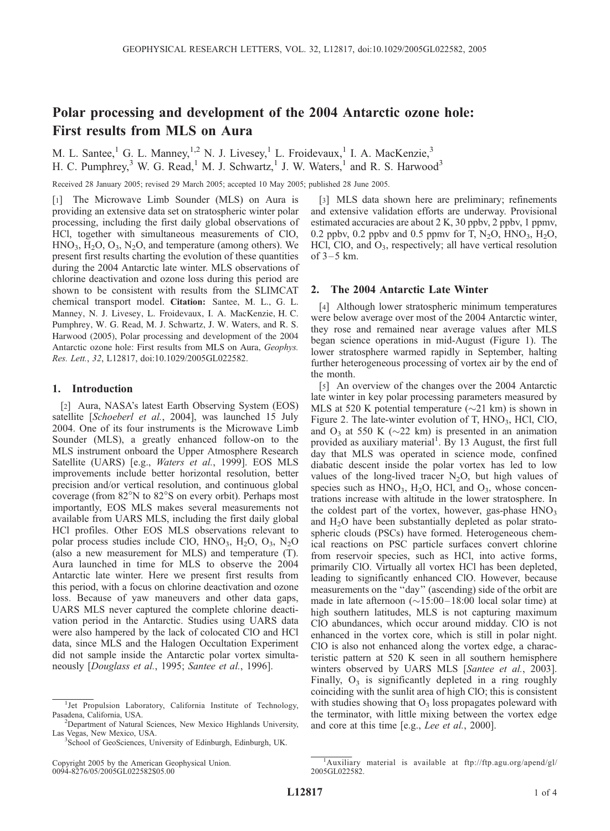## Polar processing and development of the 2004 Antarctic ozone hole: First results from MLS on Aura

M. L. Santee,<sup>1</sup> G. L. Manney,<sup>1,2</sup> N. J. Livesey,<sup>1</sup> L. Froidevaux,<sup>1</sup> I. A. MacKenzie,<sup>3</sup> H. C. Pumphrey,<sup>3</sup> W. G. Read,<sup>1</sup> M. J. Schwartz,<sup>1</sup> J. W. Waters,<sup>1</sup> and R. S. Harwood<sup>3</sup>

Received 28 January 2005; revised 29 March 2005; accepted 10 May 2005; published 28 June 2005.

[1] The Microwave Limb Sounder (MLS) on Aura is providing an extensive data set on stratospheric winter polar processing, including the first daily global observations of HCl, together with simultaneous measurements of ClO,  $HNO<sub>3</sub>, H<sub>2</sub>O, O<sub>3</sub>, N<sub>2</sub>O, and temperature (among others). We$ present first results charting the evolution of these quantities during the 2004 Antarctic late winter. MLS observations of chlorine deactivation and ozone loss during this period are shown to be consistent with results from the SLIMCAT chemical transport model. Citation: Santee, M. L., G. L. Manney, N. J. Livesey, L. Froidevaux, I. A. MacKenzie, H. C. Pumphrey, W. G. Read, M. J. Schwartz, J. W. Waters, and R. S. Harwood (2005), Polar processing and development of the 2004 Antarctic ozone hole: First results from MLS on Aura, Geophys. Res. Lett., 32, L12817, doi:10.1029/2005GL022582.

## 1. Introduction

[2] Aura, NASA's latest Earth Observing System (EOS) satellite [Schoeberl et al., 2004], was launched 15 July 2004. One of its four instruments is the Microwave Limb Sounder (MLS), a greatly enhanced follow-on to the MLS instrument onboard the Upper Atmosphere Research Satellite (UARS) [e.g., Waters et al., 1999]. EOS MLS improvements include better horizontal resolution, better precision and/or vertical resolution, and continuous global coverage (from 82°N to 82°S on every orbit). Perhaps most importantly, EOS MLS makes several measurements not available from UARS MLS, including the first daily global HCl profiles. Other EOS MLS observations relevant to polar process studies include ClO,  $HNO<sub>3</sub>$ ,  $H<sub>2</sub>O$ ,  $O<sub>3</sub>$ ,  $N<sub>2</sub>O$ (also a new measurement for MLS) and temperature (T). Aura launched in time for MLS to observe the 2004 Antarctic late winter. Here we present first results from this period, with a focus on chlorine deactivation and ozone loss. Because of yaw maneuvers and other data gaps, UARS MLS never captured the complete chlorine deactivation period in the Antarctic. Studies using UARS data were also hampered by the lack of colocated ClO and HCl data, since MLS and the Halogen Occultation Experiment did not sample inside the Antarctic polar vortex simultaneously [Douglass et al., 1995; Santee et al., 1996].

[3] MLS data shown here are preliminary; refinements and extensive validation efforts are underway. Provisional estimated accuracies are about 2 K, 30 ppbv, 2 ppbv, 1 ppmv, 0.2 ppbv, 0.2 ppbv and 0.5 ppmv for T,  $N_2O$ ,  $HNO_3$ ,  $H_2O$ , HCl, ClO, and  $O_3$ , respectively; all have vertical resolution of  $3-5$  km.

## 2. The 2004 Antarctic Late Winter

[4] Although lower stratospheric minimum temperatures were below average over most of the 2004 Antarctic winter, they rose and remained near average values after MLS began science operations in mid-August (Figure 1). The lower stratosphere warmed rapidly in September, halting further heterogeneous processing of vortex air by the end of the month.

[5] An overview of the changes over the 2004 Antarctic late winter in key polar processing parameters measured by MLS at 520 K potential temperature  $(\sim 21 \text{ km})$  is shown in Figure 2. The late-winter evolution of T,  $HNO<sub>3</sub>$ , HCl, ClO, and  $O_3$  at 550 K ( $\sim$ 22 km) is presented in an animation provided as auxiliary material<sup>1</sup>. By 13 August, the first full day that MLS was operated in science mode, confined diabatic descent inside the polar vortex has led to low values of the long-lived tracer  $N_2O$ , but high values of species such as  $HNO<sub>3</sub>$ ,  $H<sub>2</sub>O$ ,  $HCl$ , and  $O<sub>3</sub>$ , whose concentrations increase with altitude in the lower stratosphere. In the coldest part of the vortex, however, gas-phase HNO<sub>3</sub> and H2O have been substantially depleted as polar stratospheric clouds (PSCs) have formed. Heterogeneous chemical reactions on PSC particle surfaces convert chlorine from reservoir species, such as HCl, into active forms, primarily ClO. Virtually all vortex HCl has been depleted, leading to significantly enhanced ClO. However, because measurements on the ''day'' (ascending) side of the orbit are made in late afternoon  $(\sim 15:00 - 18:00$  local solar time) at high southern latitudes, MLS is not capturing maximum ClO abundances, which occur around midday. ClO is not enhanced in the vortex core, which is still in polar night. ClO is also not enhanced along the vortex edge, a characteristic pattern at 520 K seen in all southern hemisphere winters observed by UARS MLS [Santee et al., 2003]. Finally,  $O_3$  is significantly depleted in a ring roughly coinciding with the sunlit area of high ClO; this is consistent with studies showing that  $O_3$  loss propagates poleward with the terminator, with little mixing between the vortex edge and core at this time [e.g., Lee et al., 2000].

<sup>&</sup>lt;sup>1</sup>Jet Propulsion Laboratory, California Institute of Technology, Pasadena, California, USA. <sup>2</sup>

Department of Natural Sciences, New Mexico Highlands University, Las Vegas, New Mexico, USA.

<sup>&</sup>lt;sup>3</sup>School of GeoSciences, University of Edinburgh, Edinburgh, UK.

<sup>&</sup>lt;sup>1</sup>Auxiliary material is available at ftp://ftp.agu.org/apend/gl/ 2005GL022582.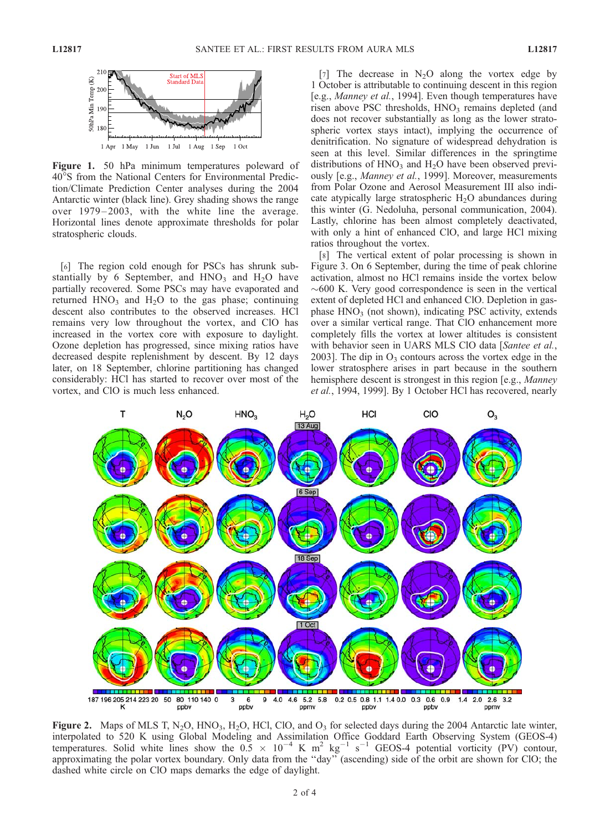

Figure 1. 50 hPa minimum temperatures poleward of 40S from the National Centers for Environmental Prediction/Climate Prediction Center analyses during the 2004 Antarctic winter (black line). Grey shading shows the range over 1979–2003, with the white line the average. Horizontal lines denote approximate thresholds for polar stratospheric clouds.

[6] The region cold enough for PSCs has shrunk substantially by 6 September, and  $HNO<sub>3</sub>$  and  $H<sub>2</sub>O$  have partially recovered. Some PSCs may have evaporated and returned  $HNO<sub>3</sub>$  and  $H<sub>2</sub>O$  to the gas phase; continuing descent also contributes to the observed increases. HCl remains very low throughout the vortex, and ClO has increased in the vortex core with exposure to daylight. Ozone depletion has progressed, since mixing ratios have decreased despite replenishment by descent. By 12 days later, on 18 September, chlorine partitioning has changed considerably: HCl has started to recover over most of the vortex, and ClO is much less enhanced.

[7] The decrease in  $N_2O$  along the vortex edge by 1 October is attributable to continuing descent in this region [e.g., Manney et al., 1994]. Even though temperatures have risen above PSC thresholds,  $HNO<sub>3</sub>$  remains depleted (and does not recover substantially as long as the lower stratospheric vortex stays intact), implying the occurrence of denitrification. No signature of widespread dehydration is seen at this level. Similar differences in the springtime distributions of  $HNO<sub>3</sub>$  and  $H<sub>2</sub>O$  have been observed previously [e.g., Manney et al., 1999]. Moreover, measurements from Polar Ozone and Aerosol Measurement III also indicate atypically large stratospheric  $H_2O$  abundances during this winter (G. Nedoluha, personal communication, 2004). Lastly, chlorine has been almost completely deactivated, with only a hint of enhanced ClO, and large HCl mixing ratios throughout the vortex.

[8] The vertical extent of polar processing is shown in Figure 3. On 6 September, during the time of peak chlorine activation, almost no HCl remains inside the vortex below  $\sim$  600 K. Very good correspondence is seen in the vertical extent of depleted HCl and enhanced ClO. Depletion in gasphase  $HNO<sub>3</sub>$  (not shown), indicating PSC activity, extends over a similar vertical range. That ClO enhancement more completely fills the vortex at lower altitudes is consistent with behavior seen in UARS MLS ClO data [Santee et al., 2003]. The dip in  $O_3$  contours across the vortex edge in the lower stratosphere arises in part because in the southern hemisphere descent is strongest in this region [e.g., *Manney* et al., 1994, 1999]. By 1 October HCl has recovered, nearly



Figure 2. Maps of MLS T, N<sub>2</sub>O, HNO<sub>3</sub>, H<sub>2</sub>O, HCl, ClO, and  $O_3$  for selected days during the 2004 Antarctic late winter, interpolated to 520 K using Global Modeling and Assimilation Office Goddard Earth Observing System (GEOS-4) temperatures. Solid white lines show the  $0.5 \times 10^{-4}$  K m<sup>2</sup> kg<sup>-1</sup> s<sup>-1</sup> GEOS-4 potential vorticity (PV) contour, approximating the polar vortex boundary. Only data from the ''day'' (ascending) side of the orbit are shown for ClO; the dashed white circle on ClO maps demarks the edge of daylight.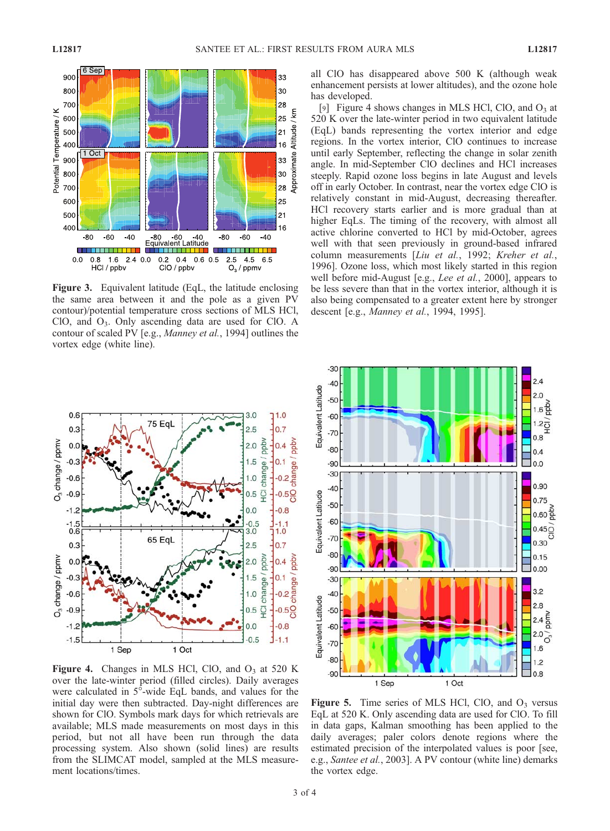

Figure 3. Equivalent latitude (EqL, the latitude enclosing the same area between it and the pole as a given PV contour)/potential temperature cross sections of MLS HCl, ClO, and O3. Only ascending data are used for ClO. A contour of scaled PV [e.g., Manney et al., 1994] outlines the vortex edge (white line).



Figure 4. Changes in MLS HCl, ClO, and  $O_3$  at 520 K over the late-winter period (filled circles). Daily averages were calculated in 5°-wide EqL bands, and values for the initial day were then subtracted. Day-night differences are shown for ClO. Symbols mark days for which retrievals are available; MLS made measurements on most days in this period, but not all have been run through the data processing system. Also shown (solid lines) are results from the SLIMCAT model, sampled at the MLS measurement locations/times.

all ClO has disappeared above 500 K (although weak enhancement persists at lower altitudes), and the ozone hole has developed.

[9] Figure 4 shows changes in MLS HCl, ClO, and  $O_3$  at 520 K over the late-winter period in two equivalent latitude (EqL) bands representing the vortex interior and edge regions. In the vortex interior, ClO continues to increase until early September, reflecting the change in solar zenith angle. In mid-September ClO declines and HCl increases steeply. Rapid ozone loss begins in late August and levels off in early October. In contrast, near the vortex edge ClO is relatively constant in mid-August, decreasing thereafter. HCl recovery starts earlier and is more gradual than at higher EqLs. The timing of the recovery, with almost all active chlorine converted to HCl by mid-October, agrees well with that seen previously in ground-based infrared column measurements [Liu et al., 1992; Kreher et al., 1996]. Ozone loss, which most likely started in this region well before mid-August [e.g., *Lee et al.*, 2000], appears to be less severe than that in the vortex interior, although it is also being compensated to a greater extent here by stronger descent [e.g., Manney et al., 1994, 1995].



Figure 5. Time series of MLS HCl, ClO, and  $O_3$  versus EqL at 520 K. Only ascending data are used for ClO. To fill in data gaps, Kalman smoothing has been applied to the daily averages; paler colors denote regions where the estimated precision of the interpolated values is poor [see, e.g., Santee et al., 2003]. A PV contour (white line) demarks the vortex edge.